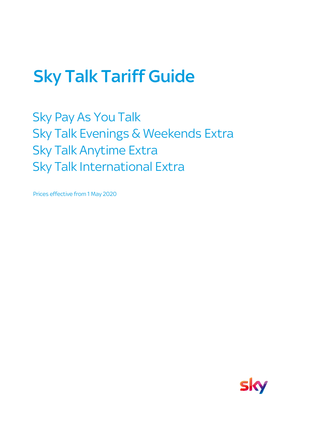# Sky Talk Tariff Guide

Sky Pay As You Talk Sky Talk Evenings & Weekends Extra Sky Talk Anytime Extra Sky Talk International Extra

Prices effective from 1 May 2020

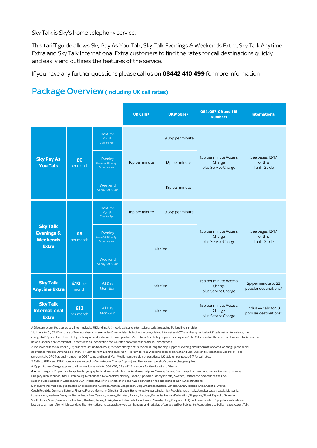Sky Talk is Sky's home telephony service.

This tariff guide allows Sky Pay As You Talk, Sky Talk Evenings & Weekends Extra, Sky Talk Anytime Extra and Sky Talk International Extra customers to find the rates for call destinations quickly and easily and outlines the features of the service.

If you have any further questions please call us on **03442 410 499** for more information

#### **UK Calls<sup>1</sup> UK Mobile<sup>2</sup> 084, 087, 09 and 118 Numbers International** Daytime Mon-Fri 7am to 7pm 19.35p per minute Evening Mon-Fri After 7pm & before 7am 18p per minute Weekend 18p per minute Daytime Mon-Fri 7am to 7pm 16p per minute 19.35p per minute Evening Mon-Fri After 7pm  $&$  before  $7a$ Weekend All day Sat & Sun **Sky Talk Anytime Extra £10** per month All Day Mon-Sun 15p per minute Access Charge plus Service Charge 2p per minute to 22 popular destinations⁴ **Sky Talk International £12** All Day 15p per minute Access Charge Inclusive calls to 50 Inclusive Inclusive 15p per minute Access Charge plus Service Charge 15p per minute Access Charge plus Service Charge See pages 12-17 of this Tariff Guide See pages 12-17 of this Tariff Guide **Sky Pay As You Talk £0** per month 16p per minute **Sky Talk Evenings & Weekends Extra £5** per month Inclusive

#### Package Overview (including UK call rates)

A 25p connection fee applies to all non-inclusive UK landline, UK mobile calls and international calls (excluding EU landline + mobile)

Mon-Sun

1. UK calls to 01, 02, 03 and Isle of Man numbers only (excludes Channel Islands, indirect access, dial-up internet and 070 numbers). Inclusive UK calls last up to an hour, then charged at 16ppm at any time of day, or hang up and redial as often as you like. Acceptable Use Policy applies - see sky.com/talk. Calls from Northern Ireland landlines to Republic of Ireland landlines are charged at UK rates less call connection fee. UK rates apply for calls to the g21 chargeband

plus Service Charge

popular destinations<sup>5</sup>

2. Inclusive calls to UK Mobile (07) numbers last up to an hour, then are charged at 19.35ppm during the day, 18ppm at evening and 18ppm at weekend, or hang up and redial

as often as you like. Daytime calls: Mon - Fri 7am to 7pm. Evening calls: Mon – Fri 7pm to 7am. Weekend calls: all day Sat and Sun. Subject to Acceptable Use Policy – see

sky.com/talk. 070 Personal Numbering, 076 Paging and Isle of Man Mobile numbers do not constitute UK Mobile - see pages 6-7 for call rates.

3. Calls to 0845 and 0870 numbers are subject to Sky's Access Charge (15ppm) and the owning operator's Service Charge applies.

**Extra**

per month

A 15ppm Access Charge applies to all non-inclusive calls to 084, 087, 09 and 118 numbers for the duration of the call.

4. A flat charge of 2p per minute applies to geographic landline calls to Austria, Australia, Belgium, Canada, Cyprus, Czech Republic, Denmark, France, Germany, Greece,

Hungary, Irish Republic, Italy, Luxembourg, Netherlands, New Zealand, Norway, Poland, Spain (inc Canary Islands), Sweden, Switzerland and calls to the USA

(also includes mobiles in Canada and USA) irrespective of the length of the call. A 25p connection fee applies to all non-EU destinations.

5. Inclusive international geographic landline calls to Australia, Austria, Bangladesh, Belgium, Brazil, Bulgaria, Canada, Canary Islands, China, Croatia, Cyprus,

Czech Republic, Denmark, Estonia, Finland, France, Germany, Gibraltar, Greece, Hong Kong, Hungary, India, Irish Republic, Israel, Italy, Jamaica, Japan, Latvia, Lithuania, Luxembourg, Madeira, Malaysia, Netherlands, New Zealand, Norway, Pakistan, Poland, Portugal, Romania, Russian Federation, Singapore, Slovak Republic, Slovenia,

South Africa, Spain, Sweden, Switzerland, Thailand, Turkey, USA (also includes calls to mobiles in Canada, Hong Kong and USA). Inclusive calls to 50 popular destinations

last up to an hour after which standard Sky international rates apply, or you can hang up and redial as often as you like. Subject to Acceptable Use Policy – see sky.com/Talk.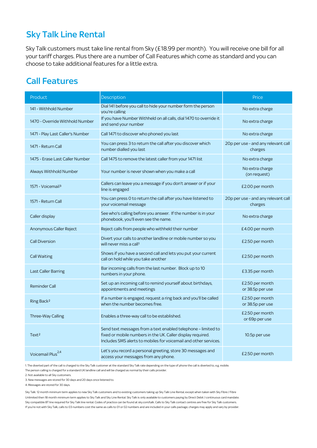# Sky Talk Line Rental

Sky Talk customers must take line rental from Sky (£18.99 per month). You will receive one bill for all your tariff charges. Plus there are a number of Call Features which come as standard and you can choose to take additional features for a little extra.

### Call Features

| Product                          | Description                                                                                                                                                                                      | Price                                          |
|----------------------------------|--------------------------------------------------------------------------------------------------------------------------------------------------------------------------------------------------|------------------------------------------------|
|                                  |                                                                                                                                                                                                  |                                                |
| 141 - Withhold Number            | Dial 141 before you call to hide your number form the person<br>vou're calling                                                                                                                   | No extra charge                                |
| 1470 - Override Withhold Number  | If you have Number Withheld on all calls, dial 1470 to override it<br>and send your number                                                                                                       | No extra charge                                |
| 1471 - Play Last Caller's Number | Call 1471 to discover who phoned you last                                                                                                                                                        | No extra charge                                |
| 1471 - Return Call               | You can press 3 to return the call after you discover which<br>number dialled you last                                                                                                           | 20p per use - and any relevant call<br>charges |
| 1475 - Erase Last Caller Number  | Call 1475 to remove the latest caller from your 1471 list                                                                                                                                        | No extra charge                                |
| Always Withhold Number           | Your number is never shown when you make a call                                                                                                                                                  | No extra charge<br>(on request)                |
| 1571 - Voicemail <sup>3</sup>    | Callers can leave you a message if you don't answer or if your<br>line is engaged                                                                                                                | £2.00 per month                                |
| 1571 - Return Call               | You can press 0 to return the call after you have listened to<br>your voicemail message                                                                                                          | 20p per use - and any relevant call<br>charges |
| Caller display                   | See who's calling before you answer. If the number is in your<br>phonebook, you'll even see the name.                                                                                            | No extra charge                                |
| Anonymous Caller Reject          | Reject calls from people who withheld their number                                                                                                                                               | £4.00 per month                                |
| <b>Call Diversion</b>            | Divert your calls to another landline or mobile number so you<br>will never miss a call <sup>1</sup>                                                                                             | £2.50 per month                                |
| <b>Call Waiting</b>              | Shows if you have a second call and lets you put your current<br>call on hold while you take another                                                                                             | £2.50 per month                                |
| <b>Last Caller Barring</b>       | Bar incoming calls from the last number. Block up to 10<br>numbers in your phone.                                                                                                                | £3.35 per month                                |
| <b>Reminder Call</b>             | Set up an incoming call to remind yourself about birthdays,<br>appointments and meetings                                                                                                         | £2.50 per month<br>or 38.5p per use            |
| Ring Back <sup>2</sup>           | If a number is engaged, request a ring back and you'll be called<br>when the number becomes free.                                                                                                | £2.50 per month<br>or 38.5p per use            |
| Three-Way Calling                | Enables a three-way call to be established.                                                                                                                                                      | £2.50 per month<br>or 69p per use              |
| Text <sup>2</sup>                | Send text messages from a text enabled telephone - limited to<br>fixed or mobile numbers in the UK. Caller display required.<br>Includes SMS alerts to mobiles for voicemail and other services. | 10.5p per use                                  |
| Voicemail Plus <sup>2,4</sup>    | Let's you record a personal greeting, store 30 messages and<br>access your messages from any phone.                                                                                              | £2.50 per month                                |

1. The diverted part of the call is charged to the Sky Talk customer at the standard Sky Talk rate depending on the type of phone the call is diverted to, e.g. mobile.

The person calling is charged for a standard UK landline call and will be charged as normal by their calls provider.

2. Not available to all Sky customers.

3. New messages are stored for 30 days and 20 days once listened to.

4. Messages are stored for 30 days.

Sky Talk: 12 month minimum term applies to new Sky Talk customers and to existing customers taking up Sky Talk Line Rental, except when taken with Sky Fibre / Fibre Unlimited then 18 month minimum term applies to Sky Talk and Sky Line Rental. Sky Talk is only available to customers paying by Direct Debit / continuous card mandate. Sky compatible BT line required for Sky Talk line rental. Codes of practice can be found at sky.com/talk. Calls to Sky Talk contact centres are free for Sky Talk customers. If you're not with Sky Talk, calls to 03 numbers cost the same as calls to 01 or 02 numbers and are included in your calls package, charges may apply and vary by provider.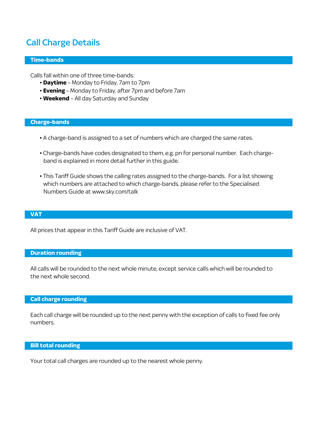# Call Charge Details

#### **Time-bands**

Calls fall within one of three time-bands:

- **Daytime** Monday to Friday, 7am to 7pm
- **Evening** Monday to Friday, after 7pm and before 7am
- **Weekend** All day Saturday and Sunday

#### **Charge-bands**

- A charge-band is assigned to a set of numbers which are charged the same rates.
- Charge-bands have codes designated to them, e.g. pn for personal number. Each charge band is explained in more detail further in this guide.
- This Tariff Guide shows the calling rates assigned to the charge-bands. For a list showing which numbers are attached to which charge-bands, please refer to the Specialised Numbers Guide at www.sky.com/talk

#### **VAT**

All prices that appear in this Tariff Guide are inclusive of VAT.

#### **Duration rounding**

All calls will be rounded to the next whole minute, except service calls which will be rounded to the next whole second.

#### **Call charge rounding**

Each call charge will be rounded up to the next penny with the exception of calls to fixed fee only numbers.

#### **Bill total rounding**

Your total call charges are rounded up to the nearest whole penny.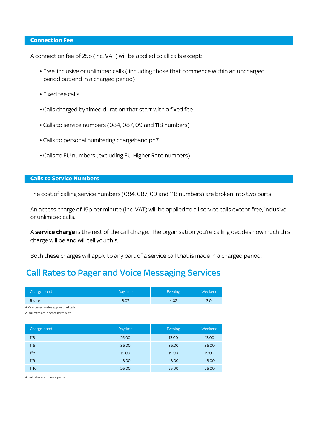#### **Connection Fee**

A connection fee of 25p (inc. VAT) will be applied to all calls except:

- Free, inclusive or unlimited calls ( including those that commence within an uncharged period but end in a charged period)
- Fixed fee calls
- Calls charged by timed duration that start with a fixed fee
- Calls to service numbers (084, 087, 09 and 118 numbers)
- Calls to personal numbering chargeband pn7
- Calls to EU numbers (excluding EU Higher Rate numbers)

#### **Calls to Service Numbers**

The cost of calling service numbers (084, 087, 09 and 118 numbers) are broken into two parts:

An access charge of 15p per minute (inc. VAT) will be applied to all service calls except free, inclusive or unlimited calls.

A **service charge** is the rest of the call charge. The organisation you're calling decides how much this charge will be and will tell you this.

Both these charges will apply to any part of a service call that is made in a charged period.

#### Call Rates to Pager and Voice Messaging Services

| Charge-band                                | <b>Daytime</b> | <b>Evening</b> | Weekend |
|--------------------------------------------|----------------|----------------|---------|
| <b>R</b> rate                              | 8.07           | 4.02           | 3.01    |
| A 25p connection fee applies to all calls. |                |                |         |
| All call rates are in pence per minute.    |                |                |         |

| Charge-band      | Daytime | Evening | Weekend |
|------------------|---------|---------|---------|
| ff3              | 25.00   | 13.00   | 13.00   |
| ff <sub>6</sub>  | 36.00   | 36.00   | 36.00   |
| ff <sub>8</sub>  | 19.00   | 19.00   | 19.00   |
| ff <sub>9</sub>  | 43.00   | 43.00   | 43.00   |
| ff <sub>10</sub> | 26.00   | 26.00   | 26.00   |

All call rates are in pence per call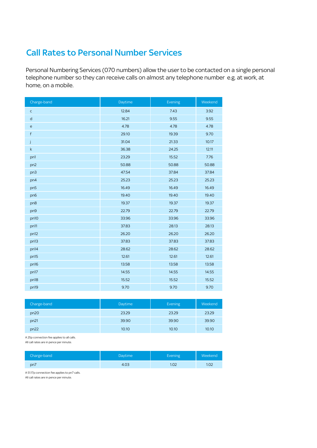### Call Rates to Personal Number Services

Personal Numbering Services (070 numbers) allow the user to be contacted on a single personal telephone number so they can receive calls on almost any telephone number e.g. at work, at home, on a mobile.

| Charge-band                       | Daytime | Evening | Weekend |
|-----------------------------------|---------|---------|---------|
| $\mathsf{C}$                      | 12.84   | 7.43    | 3.92    |
| $\mathsf{d}$                      | 16.21   | 9.55    | 9.55    |
| $\mathsf{e}% _{t}\left( t\right)$ | 4.78    | 4.78    | 4.78    |
| $\mathsf f$                       | 29.10   | 19.39   | 9.70    |
| j                                 | 31.04   | 21.33   | 10.17   |
| $\mathsf k$                       | 36.38   | 24.25   | 12.11   |
| pn1                               | 23.29   | 15.52   | 7.76    |
| pn2                               | 50.88   | 50.88   | 50.88   |
| pn3                               | 47.54   | 37.84   | 37.84   |
| pn4                               | 25.23   | 25.23   | 25.23   |
| pn <sub>5</sub>                   | 16.49   | 16.49   | 16.49   |
| pn <sub>6</sub>                   | 19.40   | 19.40   | 19.40   |
| pn8                               | 19.37   | 19.37   | 19.37   |
| pn9                               | 22.79   | 22.79   | 22.79   |
| pn10                              | 33.96   | 33.96   | 33.96   |
| pn11                              | 37.83   | 28.13   | 28.13   |
| pn12                              | 26.20   | 26.20   | 26.20   |
| pn13                              | 37.83   | 37.83   | 37.83   |
| pn14                              | 28.62   | 28.62   | 28.62   |
| pn15                              | 12.61   | 12.61   | 12.61   |
| pn16                              | 13.58   | 13.58   | 13.58   |
| pn17                              | 14.55   | 14.55   | 14.55   |
| pn18                              | 15.52   | 15.52   | 15.52   |
| pn19                              | 9.70    | 9.70    | 9.70    |

| Charge-band | Daytime | Evening | Weekend |
|-------------|---------|---------|---------|
| pn20        | 23.29   | 23.29   | 23.29   |
| pn21        | 39.90   | 39.90   | 39.90   |
| pn22        | 10.10   | 10.10   | 10.10   |

A 25p connection fee applies to all calls.

All call rates are in pence per minute.

| Charge-band | Daytime | Evening | Weekend |
|-------------|---------|---------|---------|
| pn7         | 4.03    | 1.02    | 1.02    |

A 51.17p connection fee applies to pn7 calls.

All call rates are in pence per minute.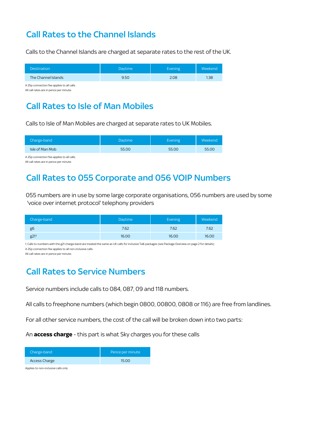# Call Rates to the Channel Islands

Calls to the Channel Islands are charged at separate rates to the rest of the UK.

| <b>Destination</b>  | <b>Davtime</b> | Evening | Weekend |
|---------------------|----------------|---------|---------|
| The Channel Islands | 9.50           | 2.08    | 1.38    |

A 25p connection fee applies to all calls. All call rates are in pence per minute.

# Call Rates to Isle of Man Mobiles

Calls to Isle of Man Mobiles are charged at separate rates to UK Mobiles.

| Charge-band     | Daytime | Evening <sup>1</sup> | Weekend <sup>1</sup> |
|-----------------|---------|----------------------|----------------------|
| Isle of Man Mob | 55.00   | 55.00                | 55.00                |

A 25p connection fee applies to all calls. All call rates are in pence per minute.

# Call Rates to 055 Corporate and 056 VOIP Numbers

055 numbers are in use by some large corporate organisations, 056 numbers are used by some 'voice over internet protocol' telephony providers

| Charge-band | <b>Daytime</b> | Evening | Weekend |
|-------------|----------------|---------|---------|
| gb          | 7.62           | 7.62    | 7.62    |
| g211        | 16.00          | 16.00   | 16.00   |

1. Calls to numbers with the g21 charge-band are treated the same as UK calls for inclusive Talk packages (see Package Overview on page 2 for details) A 25p connection fee applies to all non-inclusive calls.

All call rates are in pence per minute.

# Call Rates to Service Numbers

Service numbers include calls to 084, 087, 09 and 118 numbers.

All calls to freephone numbers (which begin 0800, 00800, 0808 or 116) are free from landlines.

For all other service numbers, the cost of the call will be broken down into two parts:

An **access charge** - this part is what Sky charges you for these calls

| Charge-band   | Pence per minute |
|---------------|------------------|
| Access Charge | 1500             |

Applies to non-inclusive calls only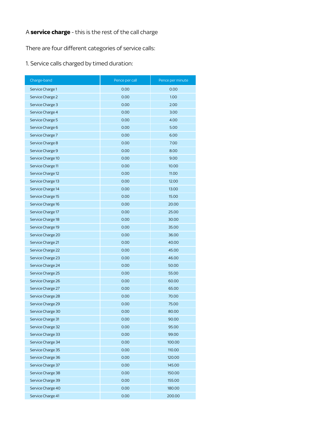#### A **service charge** - this is the rest of the call charge

There are four different categories of service calls:

1. Service calls charged by timed duration:

| Charge-band       | Pence per call | Pence per minute |
|-------------------|----------------|------------------|
| Service Charge 1  | 0.00           | 0.00             |
| Service Charge 2  | 0.00           | 1.00             |
| Service Charge 3  | 0.00           | 2.00             |
| Service Charge 4  | 0.00           | 3.00             |
| Service Charge 5  | 0.00           | 4.00             |
| Service Charge 6  | 0.00           | 5.00             |
| Service Charge 7  | 0.00           | 6.00             |
| Service Charge 8  | 0.00           | 7.00             |
| Service Charge 9  | 0.00           | 8.00             |
| Service Charge 10 | 0.00           | 9.00             |
| Service Charge 11 | 0.00           | 10.00            |
| Service Charge 12 | 0.00           | 11.00            |
| Service Charge 13 | 0.00           | 12.00            |
| Service Charge 14 | 0.00           | 13.00            |
| Service Charge 15 | 0.00           | 15.00            |
| Service Charge 16 | 0.00           | 20.00            |
| Service Charge 17 | 0.00           | 25.00            |
| Service Charge 18 | 0.00           | 30.00            |
| Service Charge 19 | 0.00           | 35.00            |
| Service Charge 20 | 0.00           | 36.00            |
| Service Charge 21 | 0.00           | 40.00            |
| Service Charge 22 | 0.00           | 45.00            |
| Service Charge 23 | 0.00           | 46.00            |
| Service Charge 24 | 0.00           | 50.00            |
| Service Charge 25 | 0.00           | 55.00            |
| Service Charge 26 | 0.00           | 60.00            |
| Service Charge 27 | 0.00           | 65.00            |
| Service Charge 28 | 0.00           | 70.00            |
| Service Charge 29 | 0.00           | 75.00            |
| Service Charge 30 | 0.00           | 80.00            |
| Service Charge 31 | 0.00           | 90.00            |
| Service Charge 32 | 0.00           | 95.00            |
| Service Charge 33 | 0.00           | 99.00            |
| Service Charge 34 | 0.00           | 100.00           |
| Service Charge 35 | 0.00           | 110.00           |
| Service Charge 36 | 0.00           | 120.00           |
| Service Charge 37 | 0.00           | 145.00           |
| Service Charge 38 | 0.00           | 150.00           |
| Service Charge 39 | 0.00           | 155.00           |
| Service Charge 40 | 0.00           | 180.00           |
| Service Charge 41 | 0.00           | 200.00           |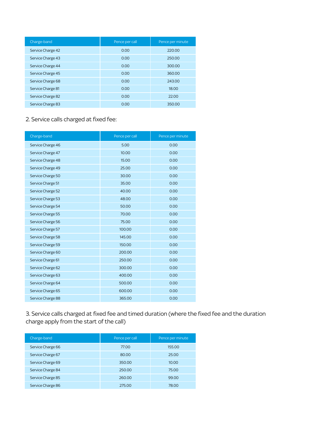| Charge-band       | Pence per call | Pence per minute |
|-------------------|----------------|------------------|
| Service Charge 42 | 0.00           | 220.00           |
| Service Charge 43 | 0.00           | 250.00           |
| Service Charge 44 | 0.00           | 300.00           |
| Service Charge 45 | 0.00           | 360.00           |
| Service Charge 68 | 0.00           | 243.00           |
| Service Charge 81 | 0.00           | 18.00            |
| Service Charge 82 | 0.00           | 22.00            |
| Service Charge 83 | 0.00           | 350.00           |

#### 2. Service calls charged at fixed fee:

| Charge-band       | Pence per call | Pence per minute |
|-------------------|----------------|------------------|
| Service Charge 46 | 5.00           | 0.00             |
| Service Charge 47 | 10.00          | 0.00             |
| Service Charge 48 | 15.00          | 0.00             |
| Service Charge 49 | 25.00          | 0.00             |
| Service Charge 50 | 30.00          | 0.00             |
| Service Charge 51 | 35.00          | 0.00             |
| Service Charge 52 | 40.00          | 0.00             |
| Service Charge 53 | 48.00          | 0.00             |
| Service Charge 54 | 50.00          | 0.00             |
| Service Charge 55 | 70.00          | 0.00             |
| Service Charge 56 | 75.00          | 0.00             |
| Service Charge 57 | 100.00         | 0.00             |
| Service Charge 58 | 145.00         | 0.00             |
| Service Charge 59 | 150.00         | 0.00             |
| Service Charge 60 | 200.00         | 0.00             |
| Service Charge 61 | 250.00         | 0.00             |
| Service Charge 62 | 300.00         | 0.00             |
| Service Charge 63 | 400.00         | 0.00             |
| Service Charge 64 | 500.00         | 0.00             |
| Service Charge 65 | 600.00         | 0.00             |
| Service Charge 88 | 365.00         | 0.00             |

3. Service calls charged at fixed fee and timed duration (where the fixed fee and the duration charge apply from the start of the call)

| Charge-band       | Pence per call | Pence per minute |
|-------------------|----------------|------------------|
| Service Charge 66 | 77.00          | 155.00           |
| Service Charge 67 | 80.00          | 25.00            |
| Service Charge 69 | 350.00         | 10.00            |
| Service Charge 84 | 250.00         | 75.00            |
| Service Charge 85 | 260.00         | 99.00            |
| Service Charge 86 | 275.00         | 78.00            |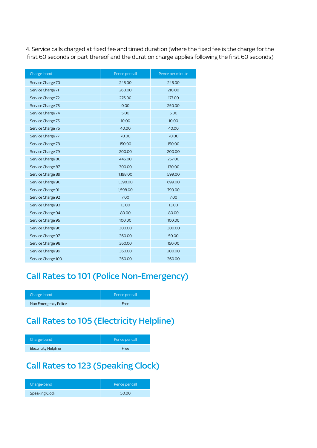4. Service calls charged at fixed fee and timed duration (where the fixed fee is the charge for the first 60 seconds or part thereof and the duration charge applies following the first 60 seconds)

| Charge-band        | Pence per call | Pence per minute |
|--------------------|----------------|------------------|
| Service Charge 70  | 243.00         | 243.00           |
| Service Charge 71  | 260.00         | 210.00           |
| Service Charge 72  | 276.00         | 177.00           |
| Service Charge 73  | 0.00           | 250.00           |
| Service Charge 74  | 5.00           | 5.00             |
| Service Charge 75  | 10.00          | 10.00            |
| Service Charge 76  | 40.00          | 40.00            |
| Service Charge 77  | 70.00          | 70.00            |
| Service Charge 78  | 150.00         | 150.00           |
| Service Charge 79  | 200.00         | 200.00           |
| Service Charge 80  | 445.00         | 257.00           |
| Service Charge 87  | 300.00         | 130.00           |
| Service Charge 89  | 1,198.00       | 599.00           |
| Service Charge 90  | 1,398.00       | 699.00           |
| Service Charge 91  | 1,598.00       | 799.00           |
| Service Charge 92  | 7.00           | 7.00             |
| Service Charge 93  | 13.00          | 13.00            |
| Service Charge 94  | 80.00          | 80.00            |
| Service Charge 95  | 100.00         | 100.00           |
| Service Charge 96  | 300.00         | 300.00           |
| Service Charge 97  | 360.00         | 50.00            |
| Service Charge 98  | 360.00         | 150.00           |
| Service Charge 99  | 360.00         | 200.00           |
| Service Charge 100 | 360.00         | 360.00           |

### Call Rates to 101 (Police Non-Emergency)

| Charge-band          | Pence per call |
|----------------------|----------------|
| Non Emergency Police | Free           |

# Call Rates to 105 (Electricity Helpline)

| Charge-band          | Pence per call |
|----------------------|----------------|
| Electricity Helpline | Free           |

# Call Rates to 123 (Speaking Clock)

| Charge-band           | Pence per call |
|-----------------------|----------------|
| <b>Speaking Clock</b> | 50.00          |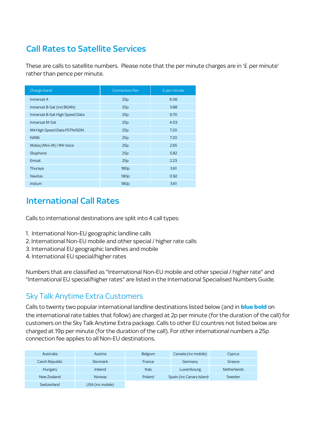# Call Rates to Satellite Services

These are calls to satellite numbers. Please note that the per minute charges are in '£ per minute' rather than pence per minute.

| Charge-band                    | <b>Connection Fee</b> | £ per minute |
|--------------------------------|-----------------------|--------------|
| Inmarsat A                     | 25p                   | 6.06         |
| Inmarsat B-Sat (incl BGAN)     | 25p                   | 3.88         |
| Inmarsat B-Sat High Speed Data | 25p                   | 9.70         |
| Inmarsat M-Sat                 | 25p                   | 4.03         |
| M4 High Speed Data PSTN/ISDN   | 25p                   | 7.20         |
| <b>NA96</b>                    | 25p                   | 7.20         |
| Mobig (Mini-M) / M4 Voice      | 25p                   | 2.65         |
| Skyphone                       | 25p                   | 5.82         |
| Emsat                          | 25p                   | 2.23         |
| Thuraya                        | 180 <sub>p</sub>      | 3.61         |
| <b>Navitas</b>                 | 180 <sub>p</sub>      | 0.92         |
| <b>Iridium</b>                 | 180 <sub>p</sub>      | 3.61         |

### International Call Rates

Calls to international destinations are split into 4 call types:

- 1. International Non-EU geographic landline calls
- 2. International Non-EU mobile and other special / higher rate calls
- 3. International EU geographic landlines and mobile
- 4. International EU special/higher rates

Numbers that are classified as "International Non-EU mobile and other special / higher rate" and "International EU special/higher rates" are listed in the International Specialised Numbers Guide.

#### Sky Talk Anytime Extra Customers

Calls to twenty two popular international landline destinations listed below (and in **blue bold** on the international rate tables that follow) are charged at 2p per minute (for the duration of the call) for customers on the Sky Talk Anytime Extra package. Calls to other EU countres not listed below are charged at 19p per minute (for the duration of the call). For other international numbers a 25p connection fee applies to all Non-EU destinations.

| Australia      | Austria          | <b>Belgium</b> | Canada (inc mobile)       | Cyprus             |
|----------------|------------------|----------------|---------------------------|--------------------|
| Czech Republic | Denmark          | France         | Germany                   | Greece             |
| Hungary        | Ireland          | Italy          | Luxembourg                | <b>Netherlands</b> |
| New Zealand    | Norway           | Poland         | Spain (inc Canary Island: | Sweden             |
| Switzerland    | USA (inc mobile) |                |                           |                    |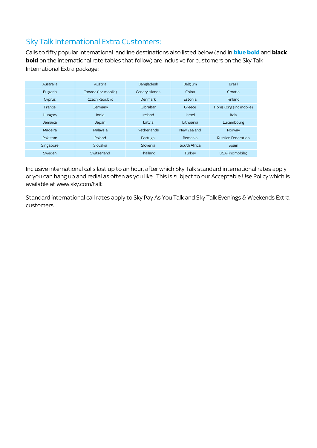#### Sky Talk International Extra Customers:

Calls to fifty popular international landline destinations also listed below (and in **blue bold** and **black bold** on the international rate tables that follow) are inclusive for customers on the Sky Talk International Extra package:

| Australia       | Austria             | Bangladesh         | <b>Belgium</b> | <b>Brazil</b>             |
|-----------------|---------------------|--------------------|----------------|---------------------------|
| <b>Bulgaria</b> | Canada (inc mobile) | Canary Islands     | China          | Croatia                   |
| Cyprus          | Czech Republic      | Denmark            | Estonia        | Finland                   |
| France          | Germany             | Gibraltar          | Greece         | Hong Kong (inc mobile)    |
| Hungary         | India               | Ireland            | <b>Israel</b>  | Italy                     |
| Jamaica         | Japan               | Latvia             | Lithuania      | Luxembourg                |
| Madeira         | Malaysia            | <b>Netherlands</b> | New Zealand    | Norway                    |
| Pakistan        | Poland              | Portugal           | Romania        | <b>Russian Federation</b> |
| Singapore       | Slovakia            | Slovenia           | South Africa   | Spain                     |
| Sweden          | Switzerland         | Thailand           | Turkey         | USA (inc mobile)          |

Inclusive international calls last up to an hour, after which Sky Talk standard international rates apply or you can hang up and redial as often as you like. This is subject to our Acceptable Use Policy which is available at www.sky.com/talk

Standard international call rates apply to Sky Pay As You Talk and Sky Talk Evenings & Weekends Extra customers.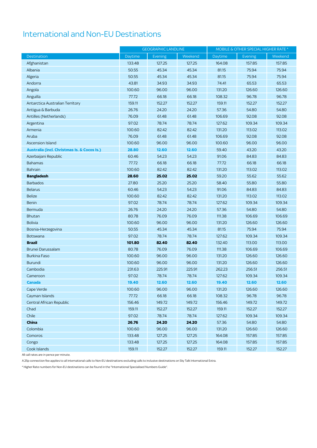# International and Non-EU Destinations

|                                                        | <b>GEOGRAPHIC LANDLINE</b> |                | MOBILE & OTHER SPECIAL HIGHER RATE * |         |         |         |
|--------------------------------------------------------|----------------------------|----------------|--------------------------------------|---------|---------|---------|
| Destination                                            | Daytime                    | <b>Evening</b> | Weekend                              | Daytime | Evening | Weekend |
| Afghanistan                                            | 133.48                     | 127.25         | 127.25                               | 164.08  | 157.85  | 157.85  |
| Albania                                                | 50.55                      | 45.34          | 45.34                                | 81.15   | 75.94   | 75.94   |
| Algeria                                                | 50.55                      | 45.34          | 45.34                                | 81.15   | 75.94   | 75.94   |
| Andorra                                                | 43.81                      | 34.93          | 34.93                                | 74.41   | 65.53   | 65.53   |
| Angola                                                 | 100.60                     | 96.00          | 96.00                                | 131.20  | 126.60  | 126.60  |
| Anguilla                                               | 77.72                      | 66.18          | 66.18                                | 108.32  | 96.78   | 96.78   |
| Antarctica Australian Territory                        | 159.11                     | 152.27         | 152.27                               | 159.11  | 152.27  | 152.27  |
| Antigua & Barbuda                                      | 26.76                      | 24.20          | 24.20                                | 57.36   | 54.80   | 54.80   |
| Antilles (Netherlands)                                 | 76.09                      | 61.48          | 61.48                                | 106.69  | 92.08   | 92.08   |
| Argentina                                              | 97.02                      | 78.74          | 78.74                                | 127.62  | 109.34  | 109.34  |
| Armenia                                                | 100.60                     | 82.42          | 82.42                                | 131.20  | 113.02  | 113.02  |
| Aruba                                                  | 76.09                      | 61.48          | 61.48                                | 106.69  | 92.08   | 92.08   |
| <b>Ascension Island</b>                                | 100.60                     | 96.00          | 96.00                                | 100.60  | 96.00   | 96.00   |
| <b>Australia (incl. Christmas Is. &amp; Cocos Is.)</b> | 28.80                      | 12.60          | 12.60                                | 59.40   | 43.20   | 43.20   |
| Azerbaijani Republic                                   | 60.46                      | 54.23          | 54.23                                | 91.06   | 84.83   | 84.83   |
| <b>Bahamas</b>                                         | 77.72                      | 66.18          | 66.18                                | 77.72   | 66.18   | 66.18   |
| <b>Bahrain</b>                                         | 100.60                     | 82.42          | 82.42                                | 131.20  | 113.02  | 113.02  |
| <b>Bangladesh</b>                                      | 28.60                      | 25.02          | 25.02                                | 59.20   | 55.62   | 55.62   |
| <b>Barbados</b>                                        | 27.80                      | 25.20          | 25.20                                | 58.40   | 55.80   | 55.80   |
| <b>Belarus</b>                                         | 60.46                      | 54.23          | 54.23                                | 91.06   | 84.83   | 84.83   |
| <b>Belize</b>                                          | 100.60                     | 82.42          | 82.42                                | 131.20  | 113.02  | 113.02  |
| <b>Benin</b>                                           | 97.02                      | 78.74          | 78.74                                | 127.62  | 109.34  | 109.34  |
| Bermuda                                                | 26.76                      | 24.20          | 24.20                                | 57.36   | 54.80   | 54.80   |
| <b>Bhutan</b>                                          | 80.78                      | 76.09          | 76.09                                | 111.38  | 106.69  | 106.69  |
| <b>Bolivia</b>                                         | 100.60                     | 96.00          | 96.00                                | 131.20  | 126.60  | 126.60  |
| Bosnia-Herzegovina                                     | 50.55                      | 45.34          | 45.34                                | 81.15   | 75.94   | 75.94   |
| Botswana                                               | 97.02                      | 78.74          | 78.74                                | 127.62  | 109.34  | 109.34  |
| <b>Brazil</b>                                          | 101.80                     | 82.40          | 82.40                                | 132.40  | 113.00  | 113.00  |
| Brunei Darussalam                                      | 80.78                      | 76.09          | 76.09                                | 111.38  | 106.69  | 106.69  |
| <b>Burkina Faso</b>                                    | 100.60                     | 96.00          | 96.00                                | 131.20  | 126.60  | 126.60  |
| <b>Burundi</b>                                         | 100.60                     | 96.00          | 96.00                                | 131.20  | 126.60  | 126.60  |
| Cambodia                                               | 231.63                     | 225.91         | 225.91                               | 262.23  | 256.51  | 256.51  |
| Cameroon                                               | 97.02                      | 78.74          | 78.74                                | 127.62  | 109.34  | 109.34  |
| Canada                                                 | 19.40                      | 12.60          | 12.60                                | 19.40   | 12.60   | 12.60   |
| Cape Verde                                             | 100.60                     | 96.00          | 96.00                                | 131.20  | 126.60  | 126.60  |
| Cayman Islands                                         | 77.72                      | 66.18          | 66.18                                | 108.32  | 96.78   | 96.78   |
| Central African Republic                               | 156.46                     | 149.72         | 149.72                               | 156.46  | 149.72  | 149.72  |
| Chad                                                   | 159.11                     | 152.27         | 152.27                               | 159.11  | 152.27  | 152.27  |
| Chile                                                  | 97.02                      | 78.74          | 78.74                                | 127.62  | 109.34  | 109.34  |
| China                                                  | 26.76                      | 24.20          | 24.20                                | 57.36   | 54.80   | 54.80   |
| Colombia                                               | 100.60                     | 96.00          | 96.00                                | 131.20  | 126.60  | 126.60  |
| Comoros                                                | 133.48                     | 127.25         | 127.25                               | 164.08  | 157.85  | 157.85  |
| Congo                                                  | 133.48                     | 127.25         | 127.25                               | 164.08  | 157.85  | 157.85  |
| Cook Islands                                           | 159.11                     | 152.27         | 152.27                               | 159.11  | 152.27  | 152.27  |

All call rates are in pence per minute.

A 25p connection fee applies to all international calls to Non-EU destinations excluding calls to inclusive destinations on Sky Talk International Extra.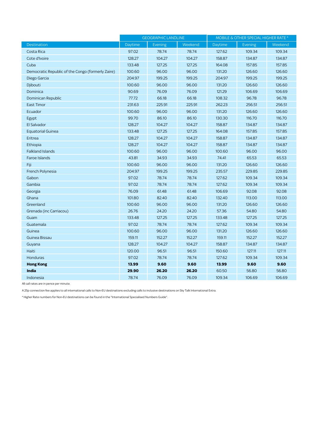|                                                   | <b>GEOGRAPHIC LANDLINE</b> |                | MOBILE & OTHER SPECIAL HIGHER RATE * |         |         |         |
|---------------------------------------------------|----------------------------|----------------|--------------------------------------|---------|---------|---------|
| <b>Destination</b>                                | Daytime                    | <b>Evening</b> | Weekend                              | Daytime | Evening | Weekend |
| Costa Rica                                        | 97.02                      | 78.74          | 78.74                                | 127.62  | 109.34  | 109.34  |
| Cote d'Ivoire                                     | 128.27                     | 104.27         | 104.27                               | 158.87  | 134.87  | 134.87  |
| Cuba                                              | 133.48                     | 127.25         | 127.25                               | 164.08  | 157.85  | 157.85  |
| Democratic Republic of the Congo (formerly Zaire) | 100.60                     | 96.00          | 96.00                                | 131.20  | 126.60  | 126.60  |
| Diego Garcia                                      | 204.97                     | 199.25         | 199.25                               | 204.97  | 199.25  | 199.25  |
| Djibouti                                          | 100.60                     | 96.00          | 96.00                                | 131.20  | 126.60  | 126.60  |
| Dominica                                          | 90.69                      | 76.09          | 76.09                                | 121.29  | 106.69  | 106.69  |
| Dominican Republic                                | 77.72                      | 66.18          | 66.18                                | 108.32  | 96.78   | 96.78   |
| <b>East Timor</b>                                 | 231.63                     | 225.91         | 225.91                               | 262.23  | 256.51  | 256.51  |
| Ecuador                                           | 100.60                     | 96.00          | 96.00                                | 131.20  | 126.60  | 126.60  |
| Egypt                                             | 99.70                      | 86.10          | 86.10                                | 130.30  | 116.70  | 116.70  |
| El Salvador                                       | 128.27                     | 104.27         | 104.27                               | 158.87  | 134.87  | 134.87  |
| <b>Equatorial Guinea</b>                          | 133.48                     | 127.25         | 127.25                               | 164.08  | 157.85  | 157.85  |
| Eritrea                                           | 128.27                     | 104.27         | 104.27                               | 158.87  | 134.87  | 134.87  |
| Ethiopia                                          | 128.27                     | 104.27         | 104.27                               | 158.87  | 134.87  | 134.87  |
| <b>Falkland Islands</b>                           | 100.60                     | 96.00          | 96.00                                | 100.60  | 96.00   | 96.00   |
| <b>Faroe Islands</b>                              | 43.81                      | 34.93          | 34.93                                | 74.41   | 65.53   | 65.53   |
| Fiji                                              | 100.60                     | 96.00          | 96.00                                | 131.20  | 126.60  | 126.60  |
| French Polynesia                                  | 204.97                     | 199.25         | 199.25                               | 235.57  | 229.85  | 229.85  |
| Gabon                                             | 97.02                      | 78.74          | 78.74                                | 127.62  | 109.34  | 109.34  |
| Gambia                                            | 97.02                      | 78.74          | 78.74                                | 127.62  | 109.34  | 109.34  |
| Georgia                                           | 76.09                      | 61.48          | 61.48                                | 106.69  | 92.08   | 92.08   |
| Ghana                                             | 101.80                     | 82.40          | 82.40                                | 132.40  | 113.00  | 113.00  |
| Greenland                                         | 100.60                     | 96.00          | 96.00                                | 131.20  | 126.60  | 126.60  |
| Grenada (inc Carriacou)                           | 26.76                      | 24.20          | 24.20                                | 57.36   | 54.80   | 54.80   |
| Guam                                              | 133.48                     | 127.25         | 127.25                               | 133.48  | 127.25  | 127.25  |
| Guatemala                                         | 97.02                      | 78.74          | 78.74                                | 127.62  | 109.34  | 109.34  |
| Guinea                                            | 100.60                     | 96.00          | 96.00                                | 131.20  | 126.60  | 126.60  |
| Guinea Bissau                                     | 159.11                     | 152.27         | 152.27                               | 159.11  | 152.27  | 152.27  |
| Guyana                                            | 128.27                     | 104.27         | 104.27                               | 158.87  | 134.87  | 134.87  |
| Haiti                                             | 120.00                     | 96.51          | 96.51                                | 150.60  | 127.11  | 127.11  |
| <b>Honduras</b>                                   | 97.02                      | 78.74          | 78.74                                | 127.62  | 109.34  | 109.34  |
| <b>Hong Kong</b>                                  | 13.99                      | 9.60           | 9.60                                 | 13.99   | 9.60    | 9.60    |
| India                                             | 29.90                      | 26.20          | 26.20                                | 60.50   | 56.80   | 56.80   |
| Indonesia                                         | 78.74                      | 76.09          | 76.09                                | 109.34  | 106.69  | 106.69  |

A 25p connection fee applies to all international calls to Non-EU destinations excluding calls to inclusive destinations on Sky Talk International Extra.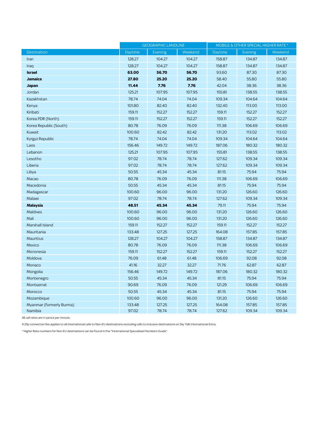|                          | <b>GEOGRAPHIC LANDLINE</b> |                | MOBILE & OTHER SPECIAL HIGHER RATE * |         |         |         |
|--------------------------|----------------------------|----------------|--------------------------------------|---------|---------|---------|
| <b>Destination</b>       | Daytime                    | <b>Evening</b> | Weekend                              | Daytime | Evening | Weekend |
| Iran                     | 128.27                     | 104.27         | 104.27                               | 158.87  | 134.87  | 134.87  |
| Iraq                     | 128.27                     | 104.27         | 104.27                               | 158.87  | 134.87  | 134.87  |
| <b>Israel</b>            | 63.00                      | 56.70          | 56.70                                | 93.60   | 87.30   | 87.30   |
| <b>Jamaica</b>           | 27.80                      | 25.20          | 25.20                                | 58.40   | 55.80   | 55.80   |
| Japan                    | 11.44                      | 7.76           | 7.76                                 | 42.04   | 38.36   | 38.36   |
| Jordan                   | 125.21                     | 107.95         | 107.95                               | 155.81  | 138.55  | 138.55  |
| Kazakhstan               | 78.74                      | 74.04          | 74.04                                | 109.34  | 104.64  | 104.64  |
| Kenya                    | 101.80                     | 82.40          | 82.40                                | 132.40  | 113.00  | 113.00  |
| Kiribati                 | 159.11                     | 152.27         | 152.27                               | 159.11  | 152.27  | 152.27  |
| Korea PDR (North)        | 159.11                     | 152.27         | 152.27                               | 159.11  | 152.27  | 152.27  |
| Korea Republic (South)   | 80.78                      | 76.09          | 76.09                                | 111.38  | 106.69  | 106.69  |
| Kuwait                   | 100.60                     | 82.42          | 82.42                                | 131.20  | 113.02  | 113.02  |
| Kyrgyz Republic          | 78.74                      | 74.04          | 74.04                                | 109.34  | 104.64  | 104.64  |
| Laos                     | 156.46                     | 149.72         | 149.72                               | 187.06  | 180.32  | 180.32  |
| Lebanon                  | 125.21                     | 107.95         | 107.95                               | 155.81  | 138.55  | 138.55  |
| Lesotho                  | 97.02                      | 78.74          | 78.74                                | 127.62  | 109.34  | 109.34  |
| Liberia                  | 97.02                      | 78.74          | 78.74                                | 127.62  | 109.34  | 109.34  |
| Libya                    | 50.55                      | 45.34          | 45.34                                | 81.15   | 75.94   | 75.94   |
| Macao                    | 80.78                      | 76.09          | 76.09                                | 111.38  | 106.69  | 106.69  |
| Macedonia                | 50.55                      | 45.34          | 45.34                                | 81.15   | 75.94   | 75.94   |
| Madagascar               | 100.60                     | 96.00          | 96.00                                | 131.20  | 126.60  | 126.60  |
| Malawi                   | 97.02                      | 78.74          | 78.74                                | 127.62  | 109.34  | 109.34  |
| <b>Malaysia</b>          | 48.51                      | 45.34          | 45.34                                | 79.11   | 75.94   | 75.94   |
| <b>Maldives</b>          | 100.60                     | 96.00          | 96.00                                | 131.20  | 126.60  | 126.60  |
| Mali                     | 100.60                     | 96.00          | 96.00                                | 131.20  | 126.60  | 126.60  |
| Marshall Island          | 159.11                     | 152.27         | 152.27                               | 159.11  | 152.27  | 152.27  |
| Mauritania               | 133.48                     | 127.25         | 127.25                               | 164.08  | 157.85  | 157.85  |
| <b>Mauritius</b>         | 128.27                     | 104.27         | 104.27                               | 158.87  | 134.87  | 134.87  |
| Mexico                   | 80.78                      | 76.09          | 76.09                                | 111.38  | 106.69  | 106.69  |
| Micronesia               | 159.11                     | 152.27         | 152.27                               | 159.11  | 152.27  | 152.27  |
| Moldova                  | 76.09                      | 61.48          | 61.48                                | 106.69  | 92.08   | 92.08   |
| Monaco                   | 41.16                      | 32.27          | 32.27                                | 71.76   | 62.87   | 62.87   |
| Mongolia                 | 156.46                     | 149.72         | 149.72                               | 187.06  | 180.32  | 180.32  |
| Montenegro               | 50.55                      | 45.34          | 45.34                                | 81.15   | 75.94   | 75.94   |
| Montserrat               | 90.69                      | 76.09          | 76.09                                | 121.29  | 106.69  | 106.69  |
| Morocco                  | 50.55                      | 45.34          | 45.34                                | 81.15   | 75.94   | 75.94   |
| Mozambique               | 100.60                     | 96.00          | 96.00                                | 131.20  | 126.60  | 126.60  |
| Myanmar (formerly Burma) | 133.48                     | 127.25         | 127.25                               | 164.08  | 157.85  | 157.85  |
| Namibia                  | 97.02                      | 78.74          | 78.74                                | 127.62  | 109.34  | 109.34  |

A 25p connection fee applies to all international calls to Non-EU destinations excluding calls to inclusive destinations on Sky Talk International Extra.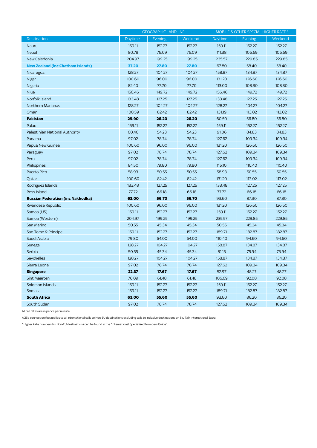|                                          | <b>GEOGRAPHIC LANDLINE</b> |         | MOBILE & OTHER SPECIAL HIGHER RATE * |         |         |         |
|------------------------------------------|----------------------------|---------|--------------------------------------|---------|---------|---------|
| <b>Destination</b>                       | Daytime                    | Evening | Weekend                              | Daytime | Evening | Weekend |
| Nauru                                    | 159.11                     | 152.27  | 152.27                               | 159.11  | 152.27  | 152.27  |
| Nepal                                    | 80.78                      | 76.09   | 76.09                                | 111.38  | 106.69  | 106.69  |
| New Caledonia                            | 204.97                     | 199.25  | 199.25                               | 235.57  | 229.85  | 229.85  |
| <b>New Zealand (inc Chatham Islands)</b> | 37.20                      | 27.80   | 27.80                                | 67.80   | 58.40   | 58.40   |
| Nicaragua                                | 128.27                     | 104.27  | 104.27                               | 158.87  | 134.87  | 134.87  |
| Niger                                    | 100.60                     | 96.00   | 96.00                                | 131.20  | 126.60  | 126.60  |
| Nigeria                                  | 82.40                      | 77.70   | 77.70                                | 113.00  | 108.30  | 108.30  |
| Niue                                     | 156.46                     | 149.72  | 149.72                               | 156.46  | 149.72  | 149.72  |
| Norfolk Island                           | 133.48                     | 127.25  | 127.25                               | 133.48  | 127.25  | 127.25  |
| <b>Northern Marianas</b>                 | 128.27                     | 104.27  | 104.27                               | 128.27  | 104.27  | 104.27  |
| Oman                                     | 100.59                     | 82.42   | 82.42                                | 131.19  | 113.02  | 113.02  |
| <b>Pakistan</b>                          | 29.90                      | 26.20   | 26.20                                | 60.50   | 56.80   | 56.80   |
| Palau                                    | 159.11                     | 152.27  | 152.27                               | 159.11  | 152.27  | 152.27  |
| Palestinian National Authority           | 60.46                      | 54.23   | 54.23                                | 91.06   | 84.83   | 84.83   |
| Panama                                   | 97.02                      | 78.74   | 78.74                                | 127.62  | 109.34  | 109.34  |
| Papua New Guinea                         | 100.60                     | 96.00   | 96.00                                | 131.20  | 126.60  | 126.60  |
| Paraguay                                 | 97.02                      | 78.74   | 78.74                                | 127.62  | 109.34  | 109.34  |
| Peru                                     | 97.02                      | 78.74   | 78.74                                | 127.62  | 109.34  | 109.34  |
| Philippines                              | 84.50                      | 79.80   | 79.80                                | 115.10  | 110.40  | 110.40  |
| Puerto Rico                              | 58.93                      | 50.55   | 50.55                                | 58.93   | 50.55   | 50.55   |
| Qatar                                    | 100.60                     | 82.42   | 82.42                                | 131.20  | 113.02  | 113.02  |
| Rodriguez Islands                        | 133.48                     | 127.25  | 127.25                               | 133.48  | 127.25  | 127.25  |
| Ross Island                              | 77.72                      | 66.18   | 66.18                                | 77.72   | 66.18   | 66.18   |
| <b>Russian Federation (inc Nakhodka)</b> | 63.00                      | 56.70   | 56.70                                | 93.60   | 87.30   | 87.30   |
| Rwandese Republic                        | 100.60                     | 96.00   | 96.00                                | 131.20  | 126.60  | 126.60  |
| Samoa (US)                               | 159.11                     | 152.27  | 152.27                               | 159.11  | 152.27  | 152.27  |
| Samoa (Western)                          | 204.97                     | 199.25  | 199.25                               | 235.57  | 229.85  | 229.85  |
| San Marino                               | 50.55                      | 45.34   | 45.34                                | 50.55   | 45.34   | 45.34   |
| Sao Tome & Principe                      | 159.11                     | 152.27  | 152.27                               | 189.71  | 182.87  | 182.87  |
| Saudi Arabia                             | 79.80                      | 64.00   | 64.00                                | 110.40  | 94.60   | 94.60   |
| Senegal                                  | 128.27                     | 104.27  | 104.27                               | 158.87  | 134.87  | 134.87  |
| Serbia                                   | 50.55                      | 45.34   | 45.34                                | 81.15   | 75.94   | 75.94   |
| Seychelles                               | 128.27                     | 104.27  | 104.27                               | 158.87  | 134.87  | 134.87  |
| Sierra Leone                             | 97.02                      | 78.74   | 78.74                                | 127.62  | 109.34  | 109.34  |
| <b>Singapore</b>                         | 22.37                      | 17.67   | 17.67                                | 52.97   | 48.27   | 48.27   |
| <b>Sint Maarten</b>                      | 76.09                      | 61.48   | 61.48                                | 106.69  | 92.08   | 92.08   |
| Solomon Islands                          | 159.11                     | 152.27  | 152.27                               | 159.11  | 152.27  | 152.27  |
| Somalia                                  | 159.11                     | 152.27  | 152.27                               | 189.71  | 182.87  | 182.87  |
| <b>South Africa</b>                      | 63.00                      | 55.60   | 55.60                                | 93.60   | 86.20   | 86.20   |
| South Sudan                              | 97.02                      | 78.74   | 78.74                                | 127.62  | 109.34  | 109.34  |

A 25p connection fee applies to all international calls to Non-EU destinations excluding calls to inclusive destinations on Sky Talk International Extra.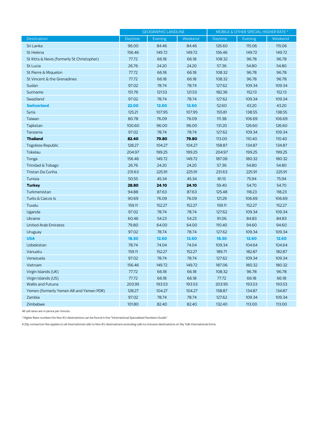|                                            | <b>GEOGRAPHIC LANDLINE</b> |         | MOBILE & OTHER SPECIAL HIGHER RATE * |         |         |         |
|--------------------------------------------|----------------------------|---------|--------------------------------------|---------|---------|---------|
| <b>Destination</b>                         | Daytime                    | Evening | Weekend                              | Daytime | Evening | Weekend |
| Sri Lanka                                  | 96.00                      | 84.46   | 84.46                                | 126.60  | 115.06  | 115.06  |
| St Helena                                  | 156.46                     | 149.72  | 149.72                               | 156.46  | 149.72  | 149.72  |
| St Kitts & Nevis (formerly St Christopher) | 77.72                      | 66.18   | 66.18                                | 108.32  | 96.78   | 96.78   |
| St Lucia                                   | 26.76                      | 24.20   | 24.20                                | 57.36   | 54.80   | 54.80   |
| St Pierre & Miguelon                       | 77.72                      | 66.18   | 66.18                                | 108.32  | 96.78   | 96.78   |
| St Vincent & the Grenadines                | 77.72                      | 66.18   | 66.18                                | 108.32  | 96.78   | 96.78   |
| Sudan                                      | 97.02                      | 78.74   | 78.74                                | 127.62  | 109.34  | 109.34  |
| Suriname                                   | 151.76                     | 121.53  | 121.53                               | 182.36  | 152.13  | 152.13  |
| Swaziland                                  | 97.02                      | 78.74   | 78.74                                | 127.62  | 109.34  | 109.34  |
| <b>Switzerland</b>                         | 22.00                      | 12.60   | 12.60                                | 52.60   | 43.20   | 43.20   |
| Syria                                      | 125.21                     | 107.95  | 107.95                               | 155.81  | 138.55  | 138.55  |
| Taiwan                                     | 80.78                      | 76.09   | 76.09                                | 111.38  | 106.69  | 106.69  |
| Tajikstan                                  | 100.60                     | 96.00   | 96.00                                | 131.20  | 126.60  | 126.60  |
| Tanzania                                   | 97.02                      | 78.74   | 78.74                                | 127.62  | 109.34  | 109.34  |
| <b>Thailand</b>                            | 82.40                      | 79.80   | 79.80                                | 113.00  | 110.40  | 110.40  |
| Togolese Republic                          | 128.27                     | 104.27  | 104.27                               | 158.87  | 134.87  | 134.87  |
| Tokelau                                    | 204.97                     | 199.25  | 199.25                               | 204.97  | 199.25  | 199.25  |
| Tonga                                      | 156.46                     | 149.72  | 149.72                               | 187.06  | 180.32  | 180.32  |
| Trinidad & Tobago                          | 26.76                      | 24.20   | 24.20                                | 57.36   | 54.80   | 54.80   |
| Tristan Da Cunha                           | 231.63                     | 225.91  | 225.91                               | 231.63  | 225.91  | 225.91  |
| Tunisia                                    | 50.55                      | 45.34   | 45.34                                | 81.15   | 75.94   | 75.94   |
| <b>Turkey</b>                              | 28.80                      | 24.10   | 24.10                                | 59.40   | 54.70   | 54.70   |
| Turkmenistan                               | 94.88                      | 87.63   | 87.63                                | 125.48  | 118.23  | 118.23  |
| Turks & Caicos Is                          | 90.69                      | 76.09   | 76.09                                | 121.29  | 106.69  | 106.69  |
| Tuvalu                                     | 159.11                     | 152.27  | 152.27                               | 159.11  | 152.27  | 152.27  |
| Uganda                                     | 97.02                      | 78.74   | 78.74                                | 127.62  | 109.34  | 109.34  |
| <b>Ukraine</b>                             | 60.46                      | 54.23   | 54.23                                | 91.06   | 84.83   | 84.83   |
| <b>United Arab Emirates</b>                | 79.80                      | 64.00   | 64.00                                | 110.40  | 94.60   | 94.60   |
| Uruguay                                    | 97.02                      | 78.74   | 78.74                                | 127.62  | 109.34  | 109.34  |
| <b>USA</b>                                 | 18.30                      | 12.60   | 12.60                                | 18.30   | 12.60   | 12.60   |
| <b>Uzbekistan</b>                          | 78.74                      | 74.04   | 74.04                                | 109.34  | 104.64  | 104.64  |
| Vanuatu                                    | 159.11                     | 152.27  | 152.27                               | 189.71  | 182.87  | 182.87  |
| Venezuela                                  | 97.02                      | 78.74   | 78.74                                | 127.62  | 109.34  | 109.34  |
| Vietnam                                    | 156.46                     | 149.72  | 149.72                               | 187.06  | 180.32  | 180.32  |
| Virgin Islands (UK)                        | 77.72                      | 66.18   | 66.18                                | 108.32  | 96.78   | 96.78   |
| Virgin Islands (US)                        | 77.72                      | 66.18   | 66.18                                | 77.72   | 66.18   | 66.18   |
| <b>Wallis and Futuna</b>                   | 203.95                     | 193.53  | 193.53                               | 203.95  | 193.53  | 193.53  |
| Yemen (formerly Yemen AR and Yemen PDR)    | 128.27                     | 104.27  | 104.27                               | 158.87  | 134.87  | 134.87  |
| Zambia                                     | 97.02                      | 78.74   | 78.74                                | 127.62  | 109.34  | 109.34  |
| Zimbabwe                                   | 101.80                     | 82.40   | 82.40                                | 132.40  | 113.00  | 113.00  |

\* Higher Rate numbers for Non-EU destinations can be found in the "International Specialised Numbers Guide".

A 25p connection fee applies to all international calls to Non-EU destinations excluding calls to inclusive destinations on Sky Talk International Extra.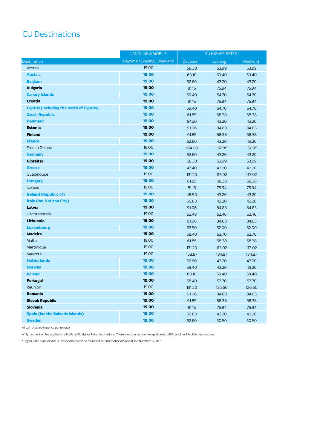# EU Destinations

|                                               | <b>LANDLINE &amp; MOBILE</b> | EU HIGHER RATES * |         |         |
|-----------------------------------------------|------------------------------|-------------------|---------|---------|
| <b>Destination</b>                            | Daytime / Evening / Weekend  | Daytime           | Evening | Weekend |
| <b>Azores</b>                                 | 19.00                        | 58.38             | 53.99   | 53.99   |
| <b>Austria</b>                                | 19.00                        | 63.10             | 59.40   | 59.40   |
| <b>Belgium</b>                                | 19.00                        | 52.60             | 43.20   | 43.20   |
| <b>Bulgaria</b>                               | 19.00                        | 81.15             | 75.94   | 75.94   |
| <b>Canary Islands</b>                         | 19.00                        | 59.40             | 54.70   | 54.70   |
| Croatia                                       | 19.00                        | 81.15             | 75.94   | 75.94   |
| <b>Cyprus (including the north of Cyprus)</b> | 19.00                        | 59.40             | 54.70   | 54.70   |
| <b>Czech Republic</b>                         | 19.00                        | 61.85             | 58.38   | 58.38   |
| <b>Denmark</b>                                | 19.00                        | 54.20             | 43.20   | 43.20   |
| <b>Estonia</b>                                | 19.00                        | 91.06             | 84.83   | 84.83   |
| <b>Finland</b>                                | 19.00                        | 61.85             | 58.38   | 58.38   |
| <b>France</b>                                 | 19.00                        | 52.60             | 43.20   | 43.20   |
| French Guiana                                 | 19.00                        | 164.08            | 157.85  | 157.85  |
| <b>Germany</b>                                | 19.00                        | 52.60             | 43.20   | 43.20   |
| <b>Gibraltar</b>                              | 19.00                        | 58.38             | 53.99   | 53.99   |
| <b>Greece</b>                                 | 19.00                        | 47.40             | 43.20   | 43.20   |
| Guadeloupe                                    | 19.00                        | 131.20            | 113.02  | 113.02  |
| <b>Hungary</b>                                | 19.00                        | 61.85             | 58.38   | 58.38   |
| Iceland                                       | 19.00                        | 81.15             | 75.94   | 75.94   |
| <b>Ireland (Republic of)</b>                  | 19.00                        | 48.90             | 43.20   | 43.20   |
| <b>Italy (inc. Vatican City)</b>              | 19.00                        | 56.80             | 43.20   | 43.20   |
| Latvia                                        | 19.00                        | 91.06             | 84.83   | 84.83   |
| Liechtenstein                                 | 19.00                        | 53.48             | 52.46   | 52.46   |
| Lithuania                                     | 19.00                        | 91.06             | 84.83   | 84.83   |
| <b>Luxembourg</b>                             | 19.00                        | 53.50             | 52.00   | 52.00   |
| <b>Madeira</b>                                | 19.00                        | 58.40             | 53.70   | 53.70   |
| Malta                                         | 19.00                        | 61.85             | 58.38   | 58.38   |
| Martinique                                    | 19.00                        | 131.20            | 113.02  | 113.02  |
| Mayotte                                       | 19.00                        | 158.87            | 134.87  | 134.87  |
| <b>Netherlands</b>                            | 19.00                        | 52.60             | 43.20   | 43.20   |
| <b>Norway</b>                                 | 19.00                        | 59.40             | 43.20   | 43.20   |
| <b>Poland</b>                                 | 19.00                        | 63.10             | 59.40   | 59.40   |
| <b>Portugal</b>                               | 19.00                        | 58.40             | 53.70   | 53.70   |
| Reunion                                       | 19.00                        | 131.20            | 126.60  | 126.60  |
| Romania                                       | 19.00                        | 91.06             | 84.83   | 84.83   |
| <b>Slovak Republic</b>                        | 19.00                        | 61.85             | 58.38   | 58.38   |
| <b>Slovenia</b>                               | 19.00                        | 81.15             | 75.94   | 75.94   |
| <b>Spain (inc the Balearic Islands)</b>       | 19.00                        | 56.80             | 43.20   | 43.20   |
| <b>Sweden</b>                                 | 19.00                        | 52.60             | 50.50   | 50.50   |

All call rates are in pence per minute.

A 19p connection fee applies to all calls to EU Higher Rate destinations. There is no connection fee applicable to EU Landline & Mobile destinations.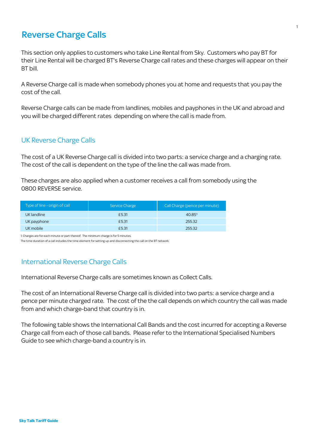### Reverse Charge Calls

This section only applies to customers who take Line Rental from Sky. Customers who pay BT for their Line Rental will be charged BT's Reverse Charge call rates and these charges will appear on their BT bill.

A Reverse Charge call is made when somebody phones you at home and requests that you pay the cost of the call.

Reverse Charge calls can be made from landlines, mobiles and payphones in the UK and abroad and you will be charged different rates depending on where the call is made from.

#### UK Reverse Charge Calls

The cost of a UK Reverse Charge call is divided into two parts: a service charge and a charging rate. The cost of the call is dependent on the type of the line the call was made from.

These charges are also applied when a customer receives a call from somebody using the 0800 REVERSE service.

| Type of line - origin of call | Service Charge | Call Charge (pence per minute) |
|-------------------------------|----------------|--------------------------------|
| UK landline                   | £5.31          | 40.851                         |
| UK payphone                   | £5.31          | 255.32                         |
| UK mobile                     | £5.31          | 255.32                         |

1. Charges are for each minute or part thereof. The minimum charge is for 5 minutes.

The time duration of a call includes the time element for setting up and disconnecting the call on the BT network.

#### International Reverse Charge Calls

International Reverse Charge calls are sometimes known as Collect Calls.

The cost of an International Reverse Charge call is divided into two parts: a service charge and a pence per minute charged rate. The cost of the the call depends on which country the call was made from and which charge-band that country is in.

The following table shows the International Call Bands and the cost incurred for accepting a Reverse Charge call from each of those call bands. Please refer to the International Specialised Numbers Guide to see which charge-band a country is in.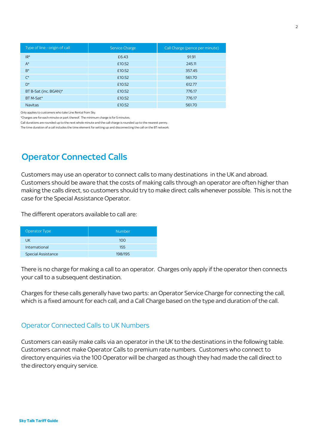| Type of line - origin of call | Service Charge | Call Charge (pence per minute) |
|-------------------------------|----------------|--------------------------------|
| $IR^*$                        | £6.43          | 91.91                          |
| $A^*$                         | £10.52         | 245.11                         |
| $B^*$                         | £10.52         | 357.45                         |
| $\mathsf{C}^{\star}$          | £10.52         | 561.70                         |
| $D^*$                         | £10.52         | 612.77                         |
| BT B-Sat (inc. BGAN)*         | £10.52         | 776.17                         |
| BT M-Sat*                     | £10.52         | 776.17                         |
| <b>Navitas</b>                | £10.52         | 561.70                         |

Only applies to customers who take Line Rental from Sky.

\*Charges are for each minute or part thereof. The minimum charge is for 5 minutes.

Call durations are rounded up to the next whole minute and the call charge is rounded up to the nearest penny.

The time duration of a call includes the time element for setting up and disconnecting the call on the BT network.

### Operator Connected Calls

Customers may use an operator to connect calls to many destinations in the UK and abroad. Customers should be aware that the costs of making calls through an operator are often higher than making the calls direct, so customers should try to make direct calls whenever possible. This is not the case for the Special Assistance Operator.

The different operators available to call are:

| <b>Operator Type</b>      | <b>Number</b> |
|---------------------------|---------------|
| UK                        | 100           |
| International             | 155           |
| <b>Special Assistance</b> | 198/195       |

There is no charge for making a call to an operator. Charges only apply if the operator then connects your call to a subsequent destination.

Charges for these calls generally have two parts: an Operator Service Charge for connecting the call, which is a fixed amount for each call, and a Call Charge based on the type and duration of the call.

#### Operator Connected Calls to UK Numbers

Customers can easily make calls via an operator in the UK to the destinations in the following table. Customers cannot make Operator Calls to premium rate numbers. Customers who connect to directory enquiries via the 100 Operator will be charged as though they had made the call direct to the directory enquiry service.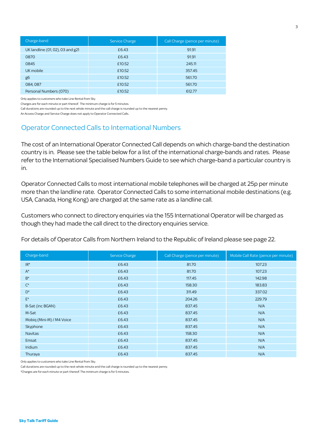| Charge-band                      | Service Charge | Call Charge (pence per minute) |
|----------------------------------|----------------|--------------------------------|
| UK landline (01, 02), 03 and g21 | £6.43          | 91.91                          |
| 0870                             | £6.43          | 91.91                          |
| 0845                             | £10.52         | 245.11                         |
| UK mobile                        | £10.52         | 357.45                         |
| g6                               | £10.52         | 561.70                         |
| 084,087                          | £10.52         | 561.70                         |
| Personal Numbers (070)           | £10.52         | 612.77                         |

Only applies to customers who take Line Rental from Sky.

Charges are for each minute or part thereof. The minimum charge is for 5 minutes.

Call durations are rounded up to the next whole minute and the call charge is rounded up to the nearest penny.

An Access Charge and Service Charge does not apply to Operator Connected Calls.

#### Operator Connected Calls to International Numbers

The cost of an International Operator Connected Call depends on which charge-band the destination country is in. Please see the table below for a list of the international charge-bands and rates. Please refer to the International Specialised Numbers Guide to see which charge-band a particular country is in.

Operator Connected Calls to most international mobile telephones will be charged at 25p per minute more than the landline rate. Operator Connected Calls to some international mobile destinations (e.g. USA, Canada, Hong Kong) are charged at the same rate as a landline call.

Customers who connect to directory enquiries via the 155 International Operator will be charged as though they had made the call direct to the directory enquiries service.

For details of Operator Calls from Northern Ireland to the Republic of Ireland please see page 22.

| Charge-band               | Service Charge | Call Charge (pence per minute) | Mobile Call Rate (pence per minute) |
|---------------------------|----------------|--------------------------------|-------------------------------------|
| $IR^*$                    | £6.43          | 81.70                          | 107.23                              |
| $A^*$                     | £6.43          | 81.70                          | 107.23                              |
| $B^*$                     | £6.43          | 117.45                         | 142.98                              |
| $\mathsf{C}^\star$        | £6.43          | 158.30                         | 183.83                              |
| $D^*$                     | £6.43          | 311.49                         | 337.02                              |
| $E^*$                     | £6.43          | 204.26                         | 229.79                              |
| B-Sat (inc BGAN)          | £6.43          | 837.45                         | N/A                                 |
| M-Sat                     | £6.43          | 837.45                         | N/A                                 |
| Mobig (Mini-M) / M4 Voice | £6.43          | 837.45                         | N/A                                 |
| Skyphone                  | £6.43          | 837.45                         | N/A                                 |
| <b>Navitas</b>            | £6.43          | 158.30                         | N/A                                 |
| Emsat                     | £6.43          | 837.45                         | N/A                                 |
| Iridium                   | £6.43          | 837.45                         | N/A                                 |
| Thuraya                   | £6.43          | 837.45                         | N/A                                 |

Only applies to customers who take Line Rental from Sky.

Call durations are rounded up to the next whole minute and the call charge is rounded up to the nearest penny.

\*Charges are for each minute or part thereof. The minimum charge is for 5 minutes.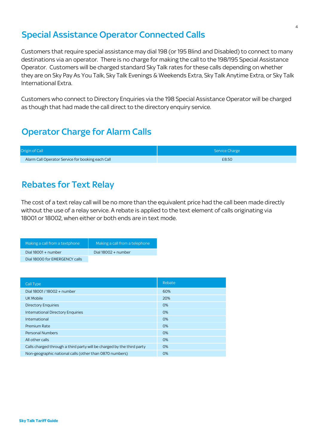### Special Assistance Operator Connected Calls

Customers that require special assistance may dial 198 (or 195 Blind and Disabled) to connect to many destinations via an operator. There is no charge for making the call to the 198/195 Special Assistance Operator. Customers will be charged standard Sky Talk rates for these calls depending on whether they are on Sky Pay As You Talk, Sky Talk Evenings & Weekends Extra, Sky Talk Anytime Extra, or Sky Talk International Extra.

Customers who connect to Directory Enquiries via the 198 Special Assistance Operator will be charged as though that had made the call direct to the directory enquiry service.

# Operator Charge for Alarm Calls

| Origin of Call                                    | Service Charge |
|---------------------------------------------------|----------------|
| Alarm Call Operator Service for booking each Call | £8.50          |

### Rebates for Text Relay

The cost of a text relay call will be no more than the equivalent price had the call been made directly without the use of a relay service. A rebate is applied to the text element of calls originating via 18001 or 18002, when either or both ends are in text mode.

| Making a call from a textphone | Making a call from a telephone |
|--------------------------------|--------------------------------|
| Dial $18001 +$ number          | Dial $18002 +$ number          |
| Dial 18000 for EMERGENCY calls |                                |

| Call Type                                                              | Rebate |
|------------------------------------------------------------------------|--------|
| Dial 18001 / 18002 + number                                            | 60%    |
| UK Mobile                                                              | 20%    |
| <b>Directory Enquiries</b>                                             | 0%     |
| <b>International Directory Enquiries</b>                               | 0%     |
| International                                                          | 0%     |
| Premium Rate                                                           | 0%     |
| <b>Personal Numbers</b>                                                | 0%     |
| All other calls                                                        | 0%     |
| Calls charged through a third party will be charged by the third party | 0%     |
| Non-geographic national calls (other than 0870 numbers)                | 0%     |